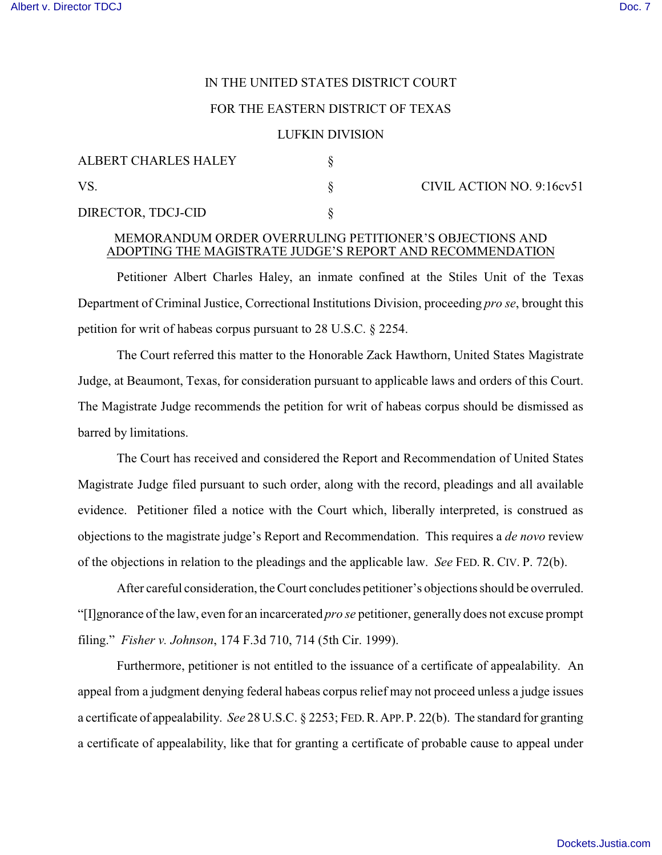# IN THE UNITED STATES DISTRICT COURT

### FOR THE EASTERN DISTRICT OF TEXAS

#### LUFKIN DIVISION

| ALBERT CHARLES HALEY |  | CIVIL ACTION NO. 9:16cv51 |
|----------------------|--|---------------------------|
| VS                   |  |                           |
| DIRECTOR, TDCJ-CID   |  |                           |

## MEMORANDUM ORDER OVERRULING PETITIONER'S OBJECTIONS AND ADOPTING THE MAGISTRATE JUDGE'S REPORT AND RECOMMENDATION

Petitioner Albert Charles Haley, an inmate confined at the Stiles Unit of the Texas Department of Criminal Justice, Correctional Institutions Division, proceeding *pro se*, brought this petition for writ of habeas corpus pursuant to 28 U.S.C. § 2254.

The Court referred this matter to the Honorable Zack Hawthorn, United States Magistrate Judge, at Beaumont, Texas, for consideration pursuant to applicable laws and orders of this Court. The Magistrate Judge recommends the petition for writ of habeas corpus should be dismissed as barred by limitations.

The Court has received and considered the Report and Recommendation of United States Magistrate Judge filed pursuant to such order, along with the record, pleadings and all available evidence. Petitioner filed a notice with the Court which, liberally interpreted, is construed as objections to the magistrate judge's Report and Recommendation. This requires a *de novo* review of the objections in relation to the pleadings and the applicable law. *See* FED. R. CIV. P. 72(b).

After careful consideration, the Court concludes petitioner's objections should be overruled. "[I]gnorance of the law, even for an incarcerated *pro se* petitioner, generally does not excuse prompt filing." *Fisher v. Johnson*, 174 F.3d 710, 714 (5th Cir. 1999).

Furthermore, petitioner is not entitled to the issuance of a certificate of appealability. An appeal from a judgment denying federal habeas corpus relief may not proceed unless a judge issues a certificate of appealability. *See* 28 U.S.C. § 2253; FED.R.APP.P. 22(b). The standard for granting a certificate of appealability, like that for granting a certificate of probable cause to appeal under